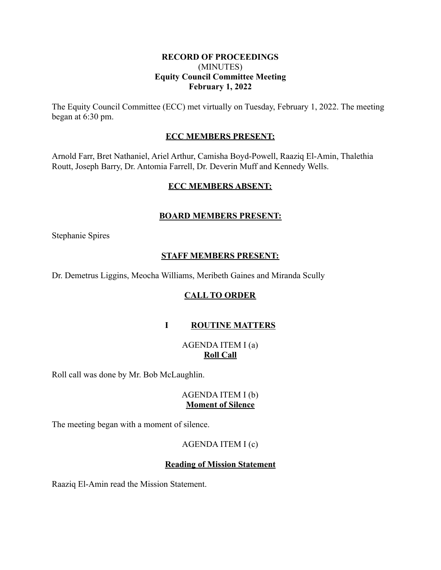## **RECORD OF PROCEEDINGS** (MINUTES) **Equity Council Committee Meeting February 1, 2022**

The Equity Council Committee (ECC) met virtually on Tuesday, February 1, 2022. The meeting began at 6:30 pm.

## **ECC MEMBERS PRESENT:**

Arnold Farr, Bret Nathaniel, Ariel Arthur, Camisha Boyd-Powell, Raaziq El-Amin, Thalethia Routt, Joseph Barry, Dr. Antomia Farrell, Dr. Deverin Muff and Kennedy Wells.

## **ECC MEMBERS ABSENT:**

# **BOARD MEMBERS PRESENT:**

Stephanie Spires

## **STAFF MEMBERS PRESENT:**

Dr. Demetrus Liggins, Meocha Williams, Meribeth Gaines and Miranda Scully

# **CALL TO ORDER**

# **I ROUTINE MATTERS**

# AGENDA ITEM I (a) **Roll Call**

Roll call was done by Mr. Bob McLaughlin.

## AGENDA ITEM I (b) **Moment of Silence**

The meeting began with a moment of silence.

## AGENDA ITEM I (c)

## **Reading of Mission Statement**

Raaziq El-Amin read the Mission Statement.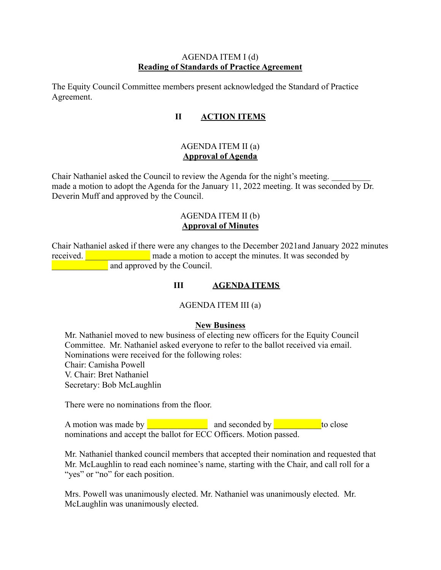## AGENDA ITEM I (d) **Reading of Standards of Practice Agreement**

The Equity Council Committee members present acknowledged the Standard of Practice Agreement.

## **II ACTION ITEMS**

#### AGENDA ITEM II (a) **Approval of Agenda**

Chair Nathaniel asked the Council to review the Agenda for the night's meeting. made a motion to adopt the Agenda for the January 11, 2022 meeting. It was seconded by Dr. Deverin Muff and approved by the Council.

## AGENDA ITEM II (b) **Approval of Minutes**

Chair Nathaniel asked if there were any changes to the December 2021and January 2022 minutes received. **Exercise** made a motion to accept the minutes. It was seconded by **Example 2.1** and approved by the Council.

## **III AGENDA ITEMS**

#### AGENDA ITEM III (a)

#### **New Business**

Mr. Nathaniel moved to new business of electing new officers for the Equity Council Committee. Mr. Nathaniel asked everyone to refer to the ballot received via email. Nominations were received for the following roles: Chair: Camisha Powell V. Chair: Bret Nathaniel Secretary: Bob McLaughlin

There were no nominations from the floor.

A motion was made by \_\_\_\_\_\_\_\_\_\_\_\_\_\_ and seconded by \_\_\_\_\_\_\_\_\_\_\_to close nominations and accept the ballot for ECC Officers. Motion passed.

Mr. Nathaniel thanked council members that accepted their nomination and requested that Mr. McLaughlin to read each nominee's name, starting with the Chair, and call roll for a "yes" or "no" for each position.

Mrs. Powell was unanimously elected. Mr. Nathaniel was unanimously elected. Mr. McLaughlin was unanimously elected.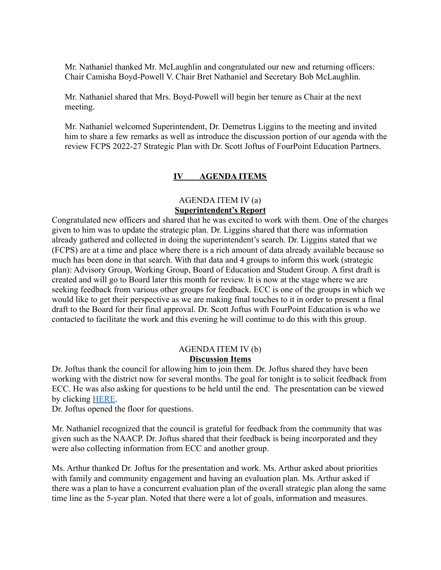Mr. Nathaniel thanked Mr. McLaughlin and congratulated our new and returning officers: Chair Camisha Boyd-Powell V. Chair Bret Nathaniel and Secretary Bob McLaughlin.

Mr. Nathaniel shared that Mrs. Boyd-Powell will begin her tenure as Chair at the next meeting.

Mr. Nathaniel welcomed Superintendent, Dr. Demetrus Liggins to the meeting and invited him to share a few remarks as well as introduce the discussion portion of our agenda with the review FCPS 2022-27 Strategic Plan with Dr. Scott Joftus of FourPoint Education Partners.

## **IV AGENDA ITEMS**

# AGENDA ITEM IV (a) **Superintendent's Report**

Congratulated new officers and shared that he was excited to work with them. One of the charges given to him was to update the strategic plan. Dr. Liggins shared that there was information already gathered and collected in doing the superintendent's search. Dr. Liggins stated that we (FCPS) are at a time and place where there is a rich amount of data already available because so much has been done in that search. With that data and 4 groups to inform this work (strategic plan): Advisory Group, Working Group, Board of Education and Student Group. A first draft is created and will go to Board later this month for review. It is now at the stage where we are seeking feedback from various other groups for feedback. ECC is one of the groups in which we would like to get their perspective as we are making final touches to it in order to present a final draft to the Board for their final approval. Dr. Scott Joftus with FourPoint Education is who we contacted to facilitate the work and this evening he will continue to do this with this group.

#### AGENDA ITEM IV (b) **Discussion Items**

Dr. Joftus thank the council for allowing him to join them. Dr. Joftus shared they have been working with the district now for several months. The goal for tonight is to solicit feedback from ECC. He was also asking for questions to be held until the end. The presentation can be viewed by clicking [HERE.](https://docs.google.com/presentation/d/1uDbMeNoVFXrDXii9ZO50k2EkNKB9CgCM/edit?usp=sharing&ouid=103112869384042706576&rtpof=true&sd=true)

Dr. Joftus opened the floor for questions.

Mr. Nathaniel recognized that the council is grateful for feedback from the community that was given such as the NAACP. Dr. Joftus shared that their feedback is being incorporated and they were also collecting information from ECC and another group.

Ms. Arthur thanked Dr. Joftus for the presentation and work. Ms. Arthur asked about priorities with family and community engagement and having an evaluation plan. Ms. Arthur asked if there was a plan to have a concurrent evaluation plan of the overall strategic plan along the same time line as the 5-year plan. Noted that there were a lot of goals, information and measures.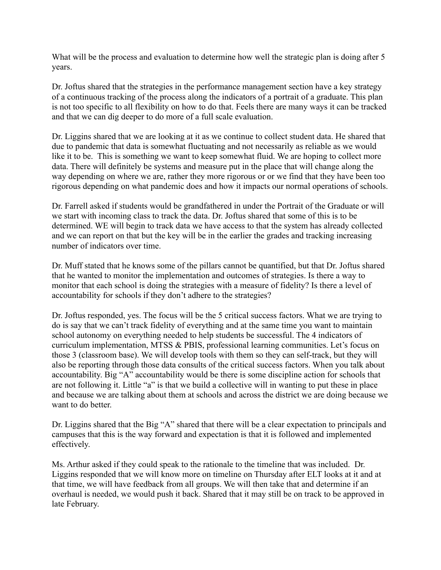What will be the process and evaluation to determine how well the strategic plan is doing after 5 years.

Dr. Joftus shared that the strategies in the performance management section have a key strategy of a continuous tracking of the process along the indicators of a portrait of a graduate. This plan is not too specific to all flexibility on how to do that. Feels there are many ways it can be tracked and that we can dig deeper to do more of a full scale evaluation.

Dr. Liggins shared that we are looking at it as we continue to collect student data. He shared that due to pandemic that data is somewhat fluctuating and not necessarily as reliable as we would like it to be. This is something we want to keep somewhat fluid. We are hoping to collect more data. There will definitely be systems and measure put in the place that will change along the way depending on where we are, rather they more rigorous or or we find that they have been too rigorous depending on what pandemic does and how it impacts our normal operations of schools.

Dr. Farrell asked if students would be grandfathered in under the Portrait of the Graduate or will we start with incoming class to track the data. Dr. Joftus shared that some of this is to be determined. WE will begin to track data we have access to that the system has already collected and we can report on that but the key will be in the earlier the grades and tracking increasing number of indicators over time.

Dr. Muff stated that he knows some of the pillars cannot be quantified, but that Dr. Joftus shared that he wanted to monitor the implementation and outcomes of strategies. Is there a way to monitor that each school is doing the strategies with a measure of fidelity? Is there a level of accountability for schools if they don't adhere to the strategies?

Dr. Joftus responded, yes. The focus will be the 5 critical success factors. What we are trying to do is say that we can't track fidelity of everything and at the same time you want to maintain school autonomy on everything needed to help students be successful. The 4 indicators of curriculum implementation, MTSS & PBIS, professional learning communities. Let's focus on those 3 (classroom base). We will develop tools with them so they can self-track, but they will also be reporting through those data consults of the critical success factors. When you talk about accountability. Big "A" accountability would be there is some discipline action for schools that are not following it. Little "a" is that we build a collective will in wanting to put these in place and because we are talking about them at schools and across the district we are doing because we want to do better.

Dr. Liggins shared that the Big "A" shared that there will be a clear expectation to principals and campuses that this is the way forward and expectation is that it is followed and implemented effectively.

Ms. Arthur asked if they could speak to the rationale to the timeline that was included. Dr. Liggins responded that we will know more on timeline on Thursday after ELT looks at it and at that time, we will have feedback from all groups. We will then take that and determine if an overhaul is needed, we would push it back. Shared that it may still be on track to be approved in late February.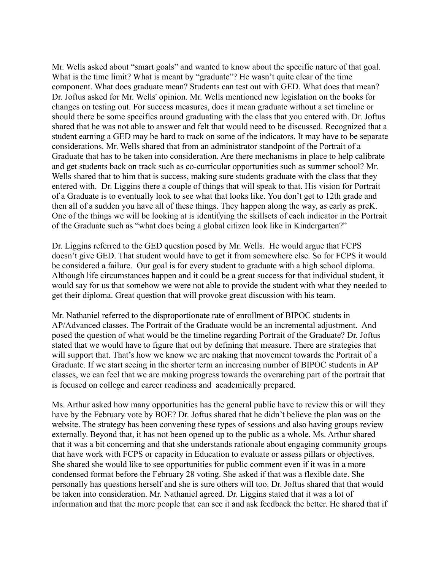Mr. Wells asked about "smart goals" and wanted to know about the specific nature of that goal. What is the time limit? What is meant by "graduate"? He wasn't quite clear of the time component. What does graduate mean? Students can test out with GED. What does that mean? Dr. Joftus asked for Mr. Wells' opinion. Mr. Wells mentioned new legislation on the books for changes on testing out. For success measures, does it mean graduate without a set timeline or should there be some specifics around graduating with the class that you entered with. Dr. Joftus shared that he was not able to answer and felt that would need to be discussed. Recognized that a student earning a GED may be hard to track on some of the indicators. It may have to be separate considerations. Mr. Wells shared that from an administrator standpoint of the Portrait of a Graduate that has to be taken into consideration. Are there mechanisms in place to help calibrate and get students back on track such as co-curricular opportunities such as summer school? Mr. Wells shared that to him that is success, making sure students graduate with the class that they entered with. Dr. Liggins there a couple of things that will speak to that. His vision for Portrait of a Graduate is to eventually look to see what that looks like. You don't get to 12th grade and then all of a sudden you have all of these things. They happen along the way, as early as preK. One of the things we will be looking at is identifying the skillsets of each indicator in the Portrait of the Graduate such as "what does being a global citizen look like in Kindergarten?"

Dr. Liggins referred to the GED question posed by Mr. Wells. He would argue that FCPS doesn't give GED. That student would have to get it from somewhere else. So for FCPS it would be considered a failure. Our goal is for every student to graduate with a high school diploma. Although life circumstances happen and it could be a great success for that individual student, it would say for us that somehow we were not able to provide the student with what they needed to get their diploma. Great question that will provoke great discussion with his team.

Mr. Nathaniel referred to the disproportionate rate of enrollment of BIPOC students in AP/Advanced classes. The Portrait of the Graduate would be an incremental adjustment. And posed the question of what would be the timeline regarding Portrait of the Graduate? Dr. Joftus stated that we would have to figure that out by defining that measure. There are strategies that will support that. That's how we know we are making that movement towards the Portrait of a Graduate. If we start seeing in the shorter term an increasing number of BIPOC students in AP classes, we can feel that we are making progress towards the overarching part of the portrait that is focused on college and career readiness and academically prepared.

Ms. Arthur asked how many opportunities has the general public have to review this or will they have by the February vote by BOE? Dr. Joftus shared that he didn't believe the plan was on the website. The strategy has been convening these types of sessions and also having groups review externally. Beyond that, it has not been opened up to the public as a whole. Ms. Arthur shared that it was a bit concerning and that she understands rationale about engaging community groups that have work with FCPS or capacity in Education to evaluate or assess pillars or objectives. She shared she would like to see opportunities for public comment even if it was in a more condensed format before the February 28 voting. She asked if that was a flexible date. She personally has questions herself and she is sure others will too. Dr. Joftus shared that that would be taken into consideration. Mr. Nathaniel agreed. Dr. Liggins stated that it was a lot of information and that the more people that can see it and ask feedback the better. He shared that if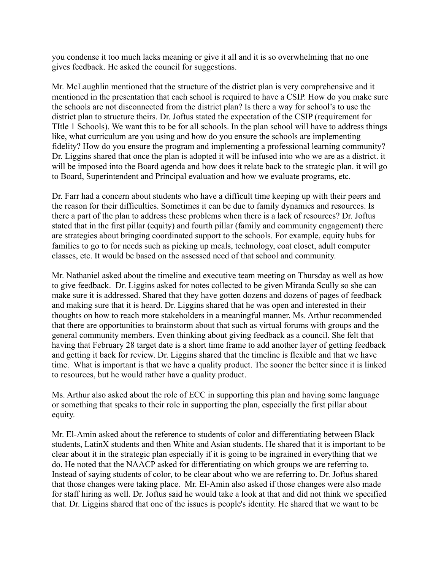you condense it too much lacks meaning or give it all and it is so overwhelming that no one gives feedback. He asked the council for suggestions.

Mr. McLaughlin mentioned that the structure of the district plan is very comprehensive and it mentioned in the presentation that each school is required to have a CSIP. How do you make sure the schools are not disconnected from the district plan? Is there a way for school's to use the district plan to structure theirs. Dr. Joftus stated the expectation of the CSIP (requirement for TItle 1 Schools). We want this to be for all schools. In the plan school will have to address things like, what curriculum are you using and how do you ensure the schools are implementing fidelity? How do you ensure the program and implementing a professional learning community? Dr. Liggins shared that once the plan is adopted it will be infused into who we are as a district. it will be imposed into the Board agenda and how does it relate back to the strategic plan. it will go to Board, Superintendent and Principal evaluation and how we evaluate programs, etc.

Dr. Farr had a concern about students who have a difficult time keeping up with their peers and the reason for their difficulties. Sometimes it can be due to family dynamics and resources. Is there a part of the plan to address these problems when there is a lack of resources? Dr. Joftus stated that in the first pillar (equity) and fourth pillar (family and community engagement) there are strategies about bringing coordinated support to the schools. For example, equity hubs for families to go to for needs such as picking up meals, technology, coat closet, adult computer classes, etc. It would be based on the assessed need of that school and community.

Mr. Nathaniel asked about the timeline and executive team meeting on Thursday as well as how to give feedback. Dr. Liggins asked for notes collected to be given Miranda Scully so she can make sure it is addressed. Shared that they have gotten dozens and dozens of pages of feedback and making sure that it is heard. Dr. Liggins shared that he was open and interested in their thoughts on how to reach more stakeholders in a meaningful manner. Ms. Arthur recommended that there are opportunities to brainstorm about that such as virtual forums with groups and the general community members. Even thinking about giving feedback as a council. She felt that having that February 28 target date is a short time frame to add another layer of getting feedback and getting it back for review. Dr. Liggins shared that the timeline is flexible and that we have time. What is important is that we have a quality product. The sooner the better since it is linked to resources, but he would rather have a quality product.

Ms. Arthur also asked about the role of ECC in supporting this plan and having some language or something that speaks to their role in supporting the plan, especially the first pillar about equity.

Mr. El-Amin asked about the reference to students of color and differentiating between Black students, LatinX students and then White and Asian students. He shared that it is important to be clear about it in the strategic plan especially if it is going to be ingrained in everything that we do. He noted that the NAACP asked for differentiating on which groups we are referring to. Instead of saying students of color, to be clear about who we are referring to. Dr. Joftus shared that those changes were taking place. Mr. El-Amin also asked if those changes were also made for staff hiring as well. Dr. Joftus said he would take a look at that and did not think we specified that. Dr. Liggins shared that one of the issues is people's identity. He shared that we want to be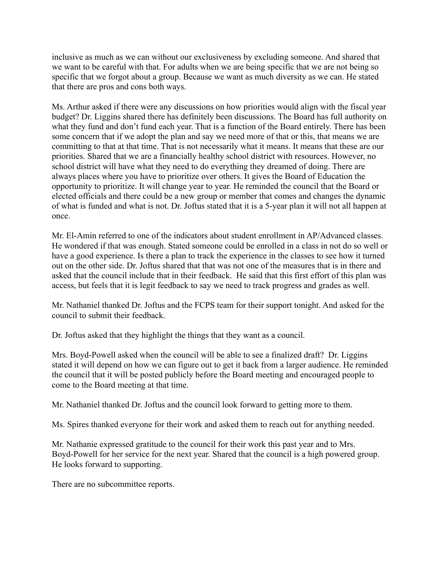inclusive as much as we can without our exclusiveness by excluding someone. And shared that we want to be careful with that. For adults when we are being specific that we are not being so specific that we forgot about a group. Because we want as much diversity as we can. He stated that there are pros and cons both ways.

Ms. Arthur asked if there were any discussions on how priorities would align with the fiscal year budget? Dr. Liggins shared there has definitely been discussions. The Board has full authority on what they fund and don't fund each year. That is a function of the Board entirely. There has been some concern that if we adopt the plan and say we need more of that or this, that means we are committing to that at that time. That is not necessarily what it means. It means that these are our priorities. Shared that we are a financially healthy school district with resources. However, no school district will have what they need to do everything they dreamed of doing. There are always places where you have to prioritize over others. It gives the Board of Education the opportunity to prioritize. It will change year to year. He reminded the council that the Board or elected officials and there could be a new group or member that comes and changes the dynamic of what is funded and what is not. Dr. Joftus stated that it is a 5-year plan it will not all happen at once.

Mr. El-Amin referred to one of the indicators about student enrollment in AP/Advanced classes. He wondered if that was enough. Stated someone could be enrolled in a class in not do so well or have a good experience. Is there a plan to track the experience in the classes to see how it turned out on the other side. Dr. Joftus shared that that was not one of the measures that is in there and asked that the council include that in their feedback. He said that this first effort of this plan was access, but feels that it is legit feedback to say we need to track progress and grades as well.

Mr. Nathaniel thanked Dr. Joftus and the FCPS team for their support tonight. And asked for the council to submit their feedback.

Dr. Joftus asked that they highlight the things that they want as a council.

Mrs. Boyd-Powell asked when the council will be able to see a finalized draft? Dr. Liggins stated it will depend on how we can figure out to get it back from a larger audience. He reminded the council that it will be posted publicly before the Board meeting and encouraged people to come to the Board meeting at that time.

Mr. Nathaniel thanked Dr. Joftus and the council look forward to getting more to them.

Ms. Spires thanked everyone for their work and asked them to reach out for anything needed.

Mr. Nathanie expressed gratitude to the council for their work this past year and to Mrs. Boyd-Powell for her service for the next year. Shared that the council is a high powered group. He looks forward to supporting.

There are no subcommittee reports.